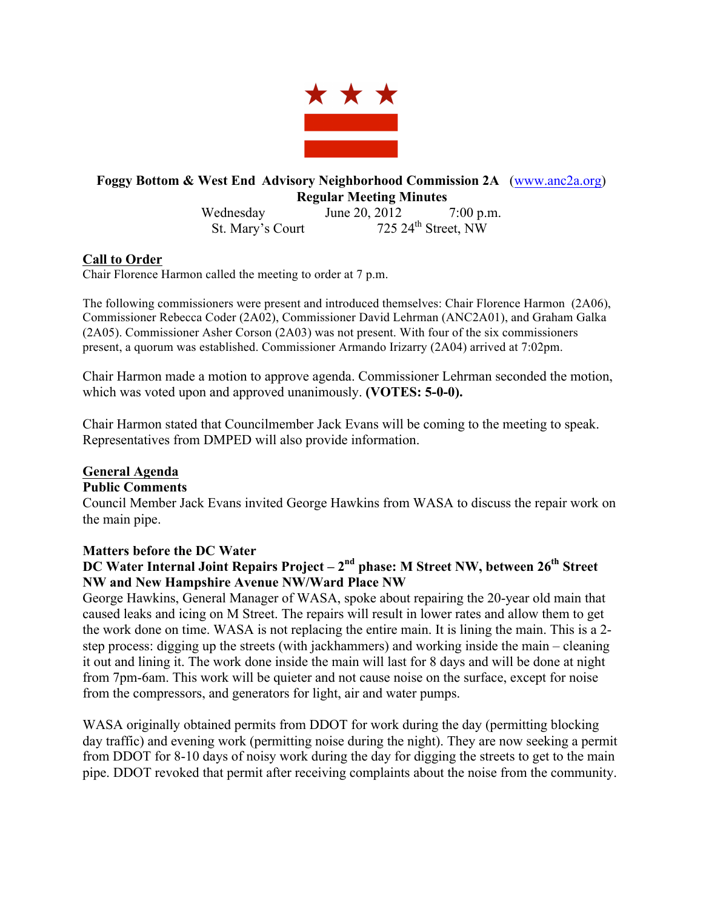

# **Foggy Bottom & West End Advisory Neighborhood Commission 2A** (www.anc2a.org) **Regular Meeting Minutes**

Wednesday June 20, 2012 7:00 p.m. St. Mary's Court  $725.24^{\text{th}}$  Street, NW

### **Call to Order**

Chair Florence Harmon called the meeting to order at 7 p.m.

The following commissioners were present and introduced themselves: Chair Florence Harmon (2A06), Commissioner Rebecca Coder (2A02), Commissioner David Lehrman (ANC2A01), and Graham Galka (2A05). Commissioner Asher Corson (2A03) was not present. With four of the six commissioners present, a quorum was established. Commissioner Armando Irizarry (2A04) arrived at 7:02pm.

Chair Harmon made a motion to approve agenda. Commissioner Lehrman seconded the motion, which was voted upon and approved unanimously. **(VOTES: 5-0-0).**

Chair Harmon stated that Councilmember Jack Evans will be coming to the meeting to speak. Representatives from DMPED will also provide information.

### **General Agenda**

### **Public Comments**

Council Member Jack Evans invited George Hawkins from WASA to discuss the repair work on the main pipe.

# **Matters before the DC Water**

# **DC Water Internal Joint Repairs Project – 2nd phase: M Street NW, between 26th Street NW and New Hampshire Avenue NW/Ward Place NW**

George Hawkins, General Manager of WASA, spoke about repairing the 20-year old main that caused leaks and icing on M Street. The repairs will result in lower rates and allow them to get the work done on time. WASA is not replacing the entire main. It is lining the main. This is a 2 step process: digging up the streets (with jackhammers) and working inside the main – cleaning it out and lining it. The work done inside the main will last for 8 days and will be done at night from 7pm-6am. This work will be quieter and not cause noise on the surface, except for noise from the compressors, and generators for light, air and water pumps.

WASA originally obtained permits from DDOT for work during the day (permitting blocking day traffic) and evening work (permitting noise during the night). They are now seeking a permit from DDOT for 8-10 days of noisy work during the day for digging the streets to get to the main pipe. DDOT revoked that permit after receiving complaints about the noise from the community.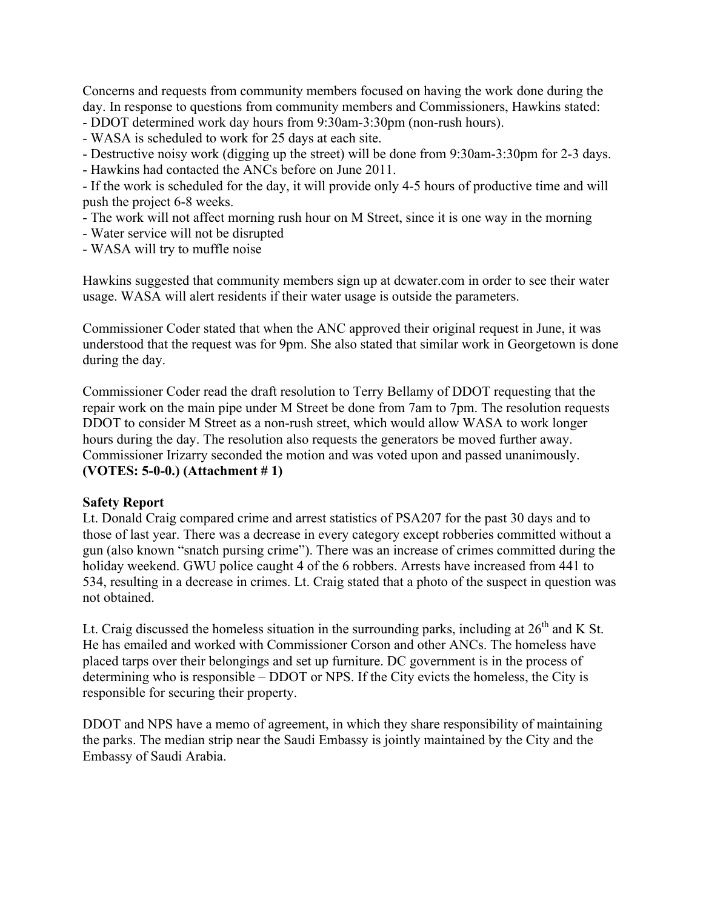Concerns and requests from community members focused on having the work done during the day. In response to questions from community members and Commissioners, Hawkins stated:

- DDOT determined work day hours from 9:30am-3:30pm (non-rush hours).

- WASA is scheduled to work for 25 days at each site.

- Destructive noisy work (digging up the street) will be done from 9:30am-3:30pm for 2-3 days.

- Hawkins had contacted the ANCs before on June 2011.

- If the work is scheduled for the day, it will provide only 4-5 hours of productive time and will push the project 6-8 weeks.

- The work will not affect morning rush hour on M Street, since it is one way in the morning

- Water service will not be disrupted

- WASA will try to muffle noise

Hawkins suggested that community members sign up at dcwater.com in order to see their water usage. WASA will alert residents if their water usage is outside the parameters.

Commissioner Coder stated that when the ANC approved their original request in June, it was understood that the request was for 9pm. She also stated that similar work in Georgetown is done during the day.

Commissioner Coder read the draft resolution to Terry Bellamy of DDOT requesting that the repair work on the main pipe under M Street be done from 7am to 7pm. The resolution requests DDOT to consider M Street as a non-rush street, which would allow WASA to work longer hours during the day. The resolution also requests the generators be moved further away. Commissioner Irizarry seconded the motion and was voted upon and passed unanimously. **(VOTES: 5-0-0.) (Attachment # 1)**

### **Safety Report**

Lt. Donald Craig compared crime and arrest statistics of PSA207 for the past 30 days and to those of last year. There was a decrease in every category except robberies committed without a gun (also known "snatch pursing crime"). There was an increase of crimes committed during the holiday weekend. GWU police caught 4 of the 6 robbers. Arrests have increased from 441 to 534, resulting in a decrease in crimes. Lt. Craig stated that a photo of the suspect in question was not obtained.

Lt. Craig discussed the homeless situation in the surrounding parks, including at  $26<sup>th</sup>$  and K St. He has emailed and worked with Commissioner Corson and other ANCs. The homeless have placed tarps over their belongings and set up furniture. DC government is in the process of determining who is responsible – DDOT or NPS. If the City evicts the homeless, the City is responsible for securing their property.

DDOT and NPS have a memo of agreement, in which they share responsibility of maintaining the parks. The median strip near the Saudi Embassy is jointly maintained by the City and the Embassy of Saudi Arabia.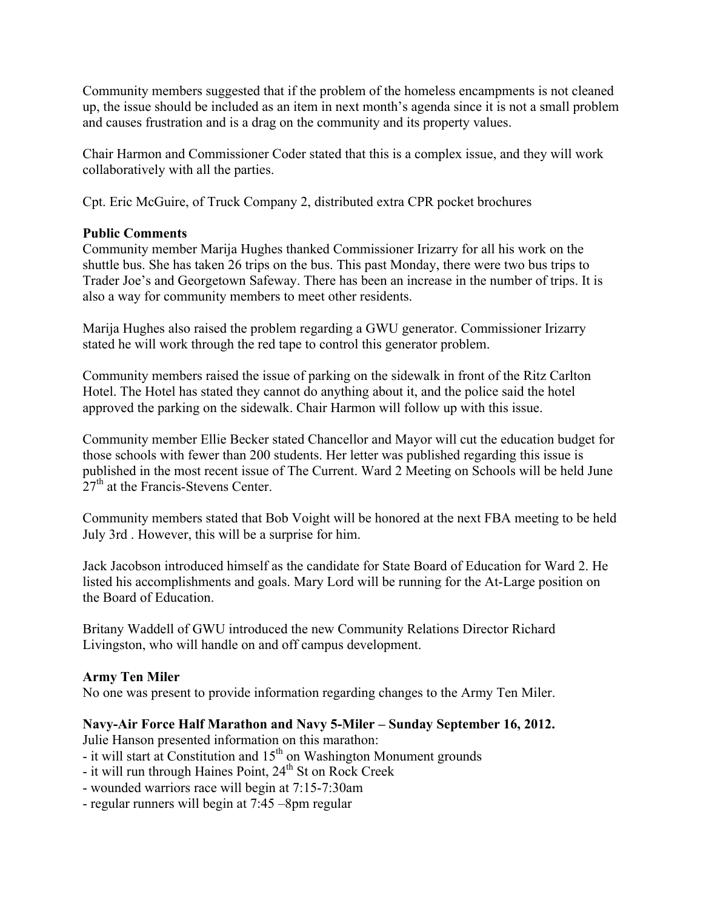Community members suggested that if the problem of the homeless encampments is not cleaned up, the issue should be included as an item in next month's agenda since it is not a small problem and causes frustration and is a drag on the community and its property values.

Chair Harmon and Commissioner Coder stated that this is a complex issue, and they will work collaboratively with all the parties.

Cpt. Eric McGuire, of Truck Company 2, distributed extra CPR pocket brochures

### **Public Comments**

Community member Marija Hughes thanked Commissioner Irizarry for all his work on the shuttle bus. She has taken 26 trips on the bus. This past Monday, there were two bus trips to Trader Joe's and Georgetown Safeway. There has been an increase in the number of trips. It is also a way for community members to meet other residents.

Marija Hughes also raised the problem regarding a GWU generator. Commissioner Irizarry stated he will work through the red tape to control this generator problem.

Community members raised the issue of parking on the sidewalk in front of the Ritz Carlton Hotel. The Hotel has stated they cannot do anything about it, and the police said the hotel approved the parking on the sidewalk. Chair Harmon will follow up with this issue.

Community member Ellie Becker stated Chancellor and Mayor will cut the education budget for those schools with fewer than 200 students. Her letter was published regarding this issue is published in the most recent issue of The Current. Ward 2 Meeting on Schools will be held June  $27<sup>th</sup>$  at the Francis-Stevens Center.

Community members stated that Bob Voight will be honored at the next FBA meeting to be held July 3rd . However, this will be a surprise for him.

Jack Jacobson introduced himself as the candidate for State Board of Education for Ward 2. He listed his accomplishments and goals. Mary Lord will be running for the At-Large position on the Board of Education.

Britany Waddell of GWU introduced the new Community Relations Director Richard Livingston, who will handle on and off campus development.

### **Army Ten Miler**

No one was present to provide information regarding changes to the Army Ten Miler.

# **Navy-Air Force Half Marathon and Navy 5-Miler – Sunday September 16, 2012.**

Julie Hanson presented information on this marathon:

- it will start at Constitution and  $15<sup>th</sup>$  on Washington Monument grounds
- it will run through Haines Point, 24<sup>th</sup> St on Rock Creek
- wounded warriors race will begin at 7:15-7:30am
- regular runners will begin at 7:45 –8pm regular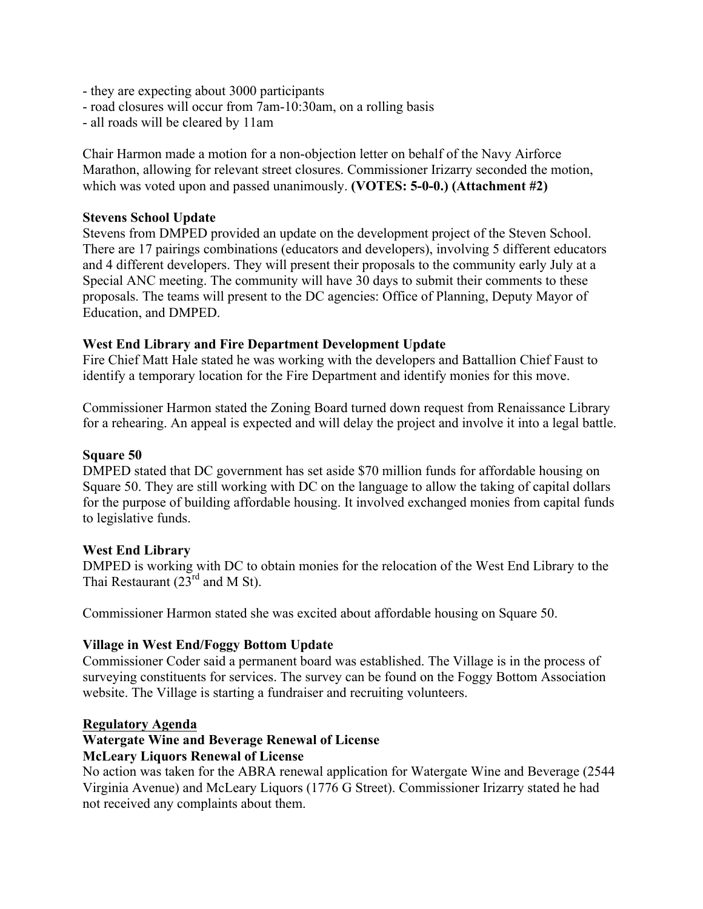- they are expecting about 3000 participants
- road closures will occur from 7am-10:30am, on a rolling basis
- all roads will be cleared by 11am

Chair Harmon made a motion for a non-objection letter on behalf of the Navy Airforce Marathon, allowing for relevant street closures. Commissioner Irizarry seconded the motion, which was voted upon and passed unanimously. **(VOTES: 5-0-0.) (Attachment #2)**

### **Stevens School Update**

Stevens from DMPED provided an update on the development project of the Steven School. There are 17 pairings combinations (educators and developers), involving 5 different educators and 4 different developers. They will present their proposals to the community early July at a Special ANC meeting. The community will have 30 days to submit their comments to these proposals. The teams will present to the DC agencies: Office of Planning, Deputy Mayor of Education, and DMPED.

### **West End Library and Fire Department Development Update**

Fire Chief Matt Hale stated he was working with the developers and Battallion Chief Faust to identify a temporary location for the Fire Department and identify monies for this move.

Commissioner Harmon stated the Zoning Board turned down request from Renaissance Library for a rehearing. An appeal is expected and will delay the project and involve it into a legal battle.

#### **Square 50**

DMPED stated that DC government has set aside \$70 million funds for affordable housing on Square 50. They are still working with DC on the language to allow the taking of capital dollars for the purpose of building affordable housing. It involved exchanged monies from capital funds to legislative funds.

### **West End Library**

DMPED is working with DC to obtain monies for the relocation of the West End Library to the Thai Restaurant  $(23^{rd}$  and M St).

Commissioner Harmon stated she was excited about affordable housing on Square 50.

### **Village in West End/Foggy Bottom Update**

Commissioner Coder said a permanent board was established. The Village is in the process of surveying constituents for services. The survey can be found on the Foggy Bottom Association website. The Village is starting a fundraiser and recruiting volunteers.

#### **Regulatory Agenda**

### **Watergate Wine and Beverage Renewal of License**

### **McLeary Liquors Renewal of License**

No action was taken for the ABRA renewal application for Watergate Wine and Beverage (2544 Virginia Avenue) and McLeary Liquors (1776 G Street). Commissioner Irizarry stated he had not received any complaints about them.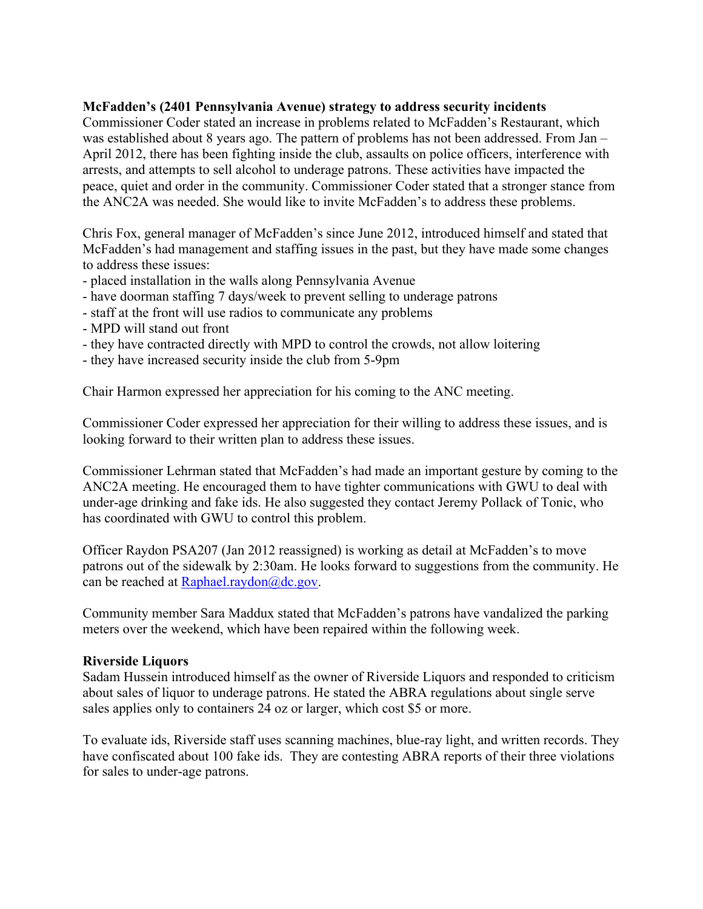### **McFadden's (2401 Pennsylvania Avenue) strategy to address security incidents**

Commissioner Coder stated an increase in problems related to McFadden's Restaurant, which was established about 8 years ago. The pattern of problems has not been addressed. From Jan – April 2012, there has been fighting inside the club, assaults on police officers, interference with arrests, and attempts to sell alcohol to underage patrons. These activities have impacted the peace, quiet and order in the community. Commissioner Coder stated that a stronger stance from the ANC2A was needed. She would like to invite McFadden's to address these problems.

Chris Fox, general manager of McFadden's since June 2012, introduced himself and stated that McFadden's had management and staffing issues in the past, but they have made some changes to address these issues:

- placed installation in the walls along Pennsylvania Avenue
- have doorman staffing 7 days/week to prevent selling to underage patrons
- staff at the front will use radios to communicate any problems
- MPD will stand out front
- they have contracted directly with MPD to control the crowds, not allow loitering
- they have increased security inside the club from 5-9pm

Chair Harmon expressed her appreciation for his coming to the ANC meeting.

Commissioner Coder expressed her appreciation for their willing to address these issues, and is looking forward to their written plan to address these issues.

Commissioner Lehrman stated that McFadden's had made an important gesture by coming to the ANC2A meeting. He encouraged them to have tighter communications with GWU to deal with under-age drinking and fake ids. He also suggested they contact Jeremy Pollack of Tonic, who has coordinated with GWU to control this problem.

Officer Raydon PSA207 (Jan 2012 reassigned) is working as detail at McFadden's to move patrons out of the sidewalk by 2:30am. He looks forward to suggestions from the community. He can be reached at Raphael.raydon@dc.gov.

Community member Sara Maddux stated that McFadden's patrons have vandalized the parking meters over the weekend, which have been repaired within the following week.

### **Riverside Liquors**

Sadam Hussein introduced himself as the owner of Riverside Liquors and responded to criticism about sales of liquor to underage patrons. He stated the ABRA regulations about single serve sales applies only to containers 24 oz or larger, which cost \$5 or more.

To evaluate ids, Riverside staff uses scanning machines, blue-ray light, and written records. They have confiscated about 100 fake ids. They are contesting ABRA reports of their three violations for sales to under-age patrons.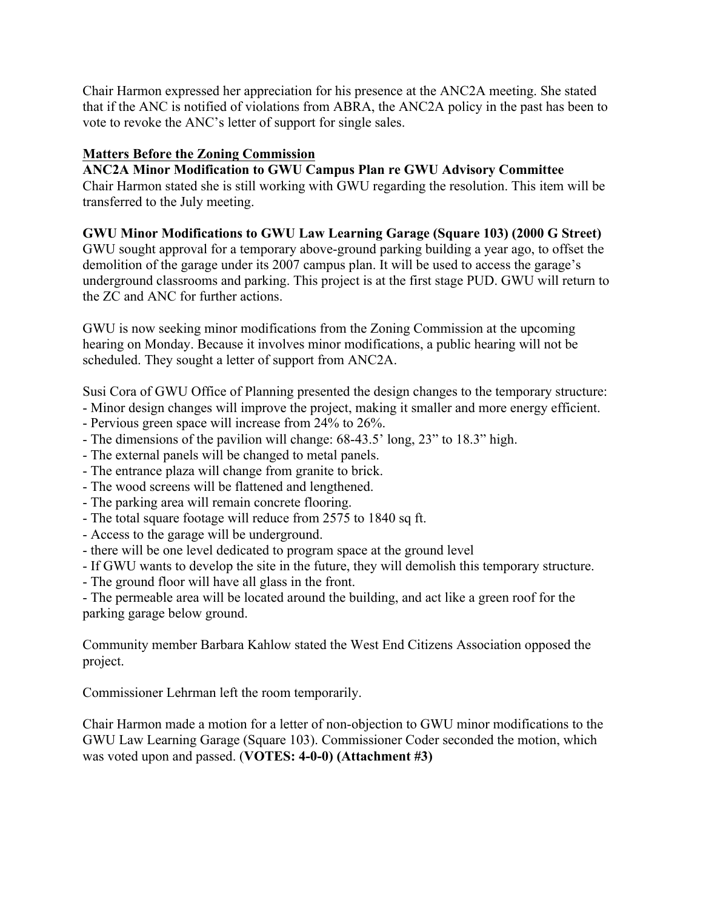Chair Harmon expressed her appreciation for his presence at the ANC2A meeting. She stated that if the ANC is notified of violations from ABRA, the ANC2A policy in the past has been to vote to revoke the ANC's letter of support for single sales.

## **Matters Before the Zoning Commission**

**ANC2A Minor Modification to GWU Campus Plan re GWU Advisory Committee** Chair Harmon stated she is still working with GWU regarding the resolution. This item will be transferred to the July meeting.

# **GWU Minor Modifications to GWU Law Learning Garage (Square 103) (2000 G Street)**

GWU sought approval for a temporary above-ground parking building a year ago, to offset the demolition of the garage under its 2007 campus plan. It will be used to access the garage's underground classrooms and parking. This project is at the first stage PUD. GWU will return to the ZC and ANC for further actions.

GWU is now seeking minor modifications from the Zoning Commission at the upcoming hearing on Monday. Because it involves minor modifications, a public hearing will not be scheduled. They sought a letter of support from ANC2A.

Susi Cora of GWU Office of Planning presented the design changes to the temporary structure:

- Minor design changes will improve the project, making it smaller and more energy efficient.

- Pervious green space will increase from 24% to 26%.
- The dimensions of the pavilion will change: 68-43.5' long, 23" to 18.3" high.
- The external panels will be changed to metal panels.
- The entrance plaza will change from granite to brick.
- The wood screens will be flattened and lengthened.
- The parking area will remain concrete flooring.
- The total square footage will reduce from 2575 to 1840 sq ft.
- Access to the garage will be underground.
- there will be one level dedicated to program space at the ground level
- If GWU wants to develop the site in the future, they will demolish this temporary structure.
- The ground floor will have all glass in the front.

- The permeable area will be located around the building, and act like a green roof for the parking garage below ground.

Community member Barbara Kahlow stated the West End Citizens Association opposed the project.

Commissioner Lehrman left the room temporarily.

Chair Harmon made a motion for a letter of non-objection to GWU minor modifications to the GWU Law Learning Garage (Square 103). Commissioner Coder seconded the motion, which was voted upon and passed. (**VOTES: 4-0-0) (Attachment #3)**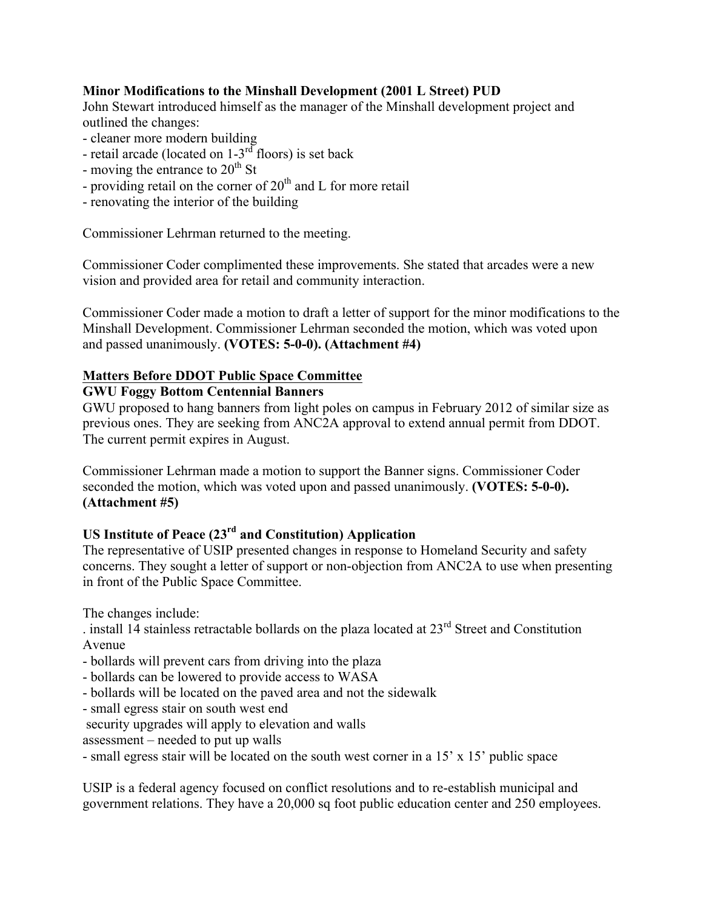### **Minor Modifications to the Minshall Development (2001 L Street) PUD**

John Stewart introduced himself as the manager of the Minshall development project and outlined the changes:

- cleaner more modern building
- retail arcade (located on  $1-3<sup>rd</sup>$  floors) is set back
- moving the entrance to  $20<sup>th</sup>$  St
- providing retail on the corner of  $20<sup>th</sup>$  and L for more retail
- renovating the interior of the building

Commissioner Lehrman returned to the meeting.

Commissioner Coder complimented these improvements. She stated that arcades were a new vision and provided area for retail and community interaction.

Commissioner Coder made a motion to draft a letter of support for the minor modifications to the Minshall Development. Commissioner Lehrman seconded the motion, which was voted upon and passed unanimously. **(VOTES: 5-0-0). (Attachment #4)**

### **Matters Before DDOT Public Space Committee**

### **GWU Foggy Bottom Centennial Banners**

GWU proposed to hang banners from light poles on campus in February 2012 of similar size as previous ones. They are seeking from ANC2A approval to extend annual permit from DDOT. The current permit expires in August.

Commissioner Lehrman made a motion to support the Banner signs. Commissioner Coder seconded the motion, which was voted upon and passed unanimously. **(VOTES: 5-0-0). (Attachment #5)**

# **US Institute of Peace (23rd and Constitution) Application**

The representative of USIP presented changes in response to Homeland Security and safety concerns. They sought a letter of support or non-objection from ANC2A to use when presenting in front of the Public Space Committee.

The changes include:

. install 14 stainless retractable bollards on the plaza located at  $23<sup>rd</sup>$  Street and Constitution Avenue

- bollards will prevent cars from driving into the plaza
- bollards can be lowered to provide access to WASA
- bollards will be located on the paved area and not the sidewalk
- small egress stair on south west end
- security upgrades will apply to elevation and walls
- assessment needed to put up walls
- small egress stair will be located on the south west corner in a 15' x 15' public space

USIP is a federal agency focused on conflict resolutions and to re-establish municipal and government relations. They have a 20,000 sq foot public education center and 250 employees.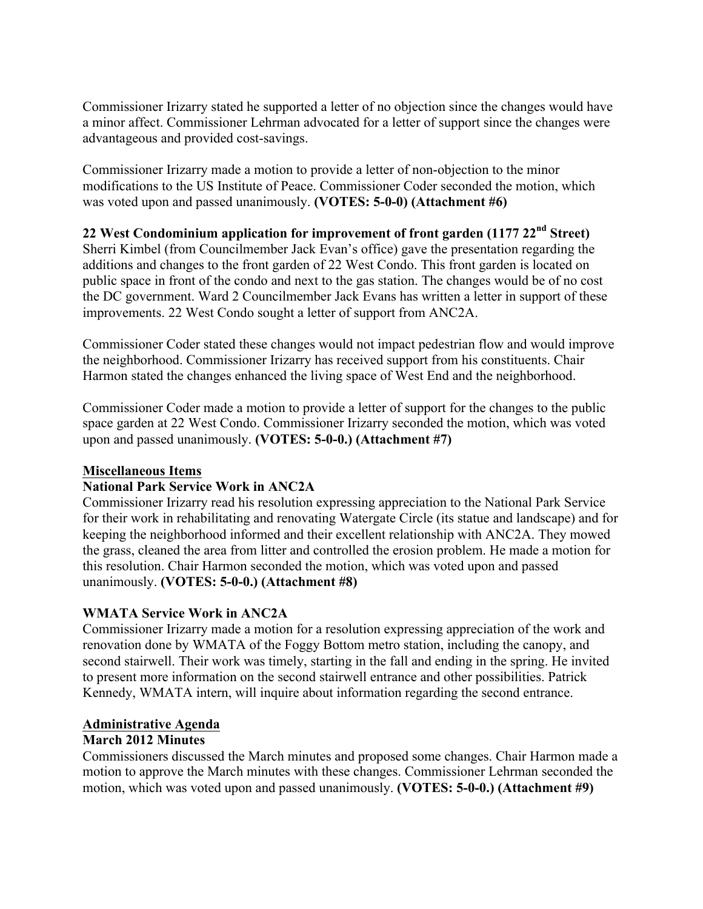Commissioner Irizarry stated he supported a letter of no objection since the changes would have a minor affect. Commissioner Lehrman advocated for a letter of support since the changes were advantageous and provided cost-savings.

Commissioner Irizarry made a motion to provide a letter of non-objection to the minor modifications to the US Institute of Peace. Commissioner Coder seconded the motion, which was voted upon and passed unanimously. **(VOTES: 5-0-0) (Attachment #6)**

### **22 West Condominium application for improvement of front garden (1177 22nd Street)**

Sherri Kimbel (from Councilmember Jack Evan's office) gave the presentation regarding the additions and changes to the front garden of 22 West Condo. This front garden is located on public space in front of the condo and next to the gas station. The changes would be of no cost the DC government. Ward 2 Councilmember Jack Evans has written a letter in support of these improvements. 22 West Condo sought a letter of support from ANC2A.

Commissioner Coder stated these changes would not impact pedestrian flow and would improve the neighborhood. Commissioner Irizarry has received support from his constituents. Chair Harmon stated the changes enhanced the living space of West End and the neighborhood.

Commissioner Coder made a motion to provide a letter of support for the changes to the public space garden at 22 West Condo. Commissioner Irizarry seconded the motion, which was voted upon and passed unanimously. **(VOTES: 5-0-0.) (Attachment #7)**

### **Miscellaneous Items**

### **National Park Service Work in ANC2A**

Commissioner Irizarry read his resolution expressing appreciation to the National Park Service for their work in rehabilitating and renovating Watergate Circle (its statue and landscape) and for keeping the neighborhood informed and their excellent relationship with ANC2A. They mowed the grass, cleaned the area from litter and controlled the erosion problem. He made a motion for this resolution. Chair Harmon seconded the motion, which was voted upon and passed unanimously. **(VOTES: 5-0-0.) (Attachment #8)**

### **WMATA Service Work in ANC2A**

Commissioner Irizarry made a motion for a resolution expressing appreciation of the work and renovation done by WMATA of the Foggy Bottom metro station, including the canopy, and second stairwell. Their work was timely, starting in the fall and ending in the spring. He invited to present more information on the second stairwell entrance and other possibilities. Patrick Kennedy, WMATA intern, will inquire about information regarding the second entrance.

### **Administrative Agenda**

### **March 2012 Minutes**

Commissioners discussed the March minutes and proposed some changes. Chair Harmon made a motion to approve the March minutes with these changes. Commissioner Lehrman seconded the motion, which was voted upon and passed unanimously. **(VOTES: 5-0-0.) (Attachment #9)**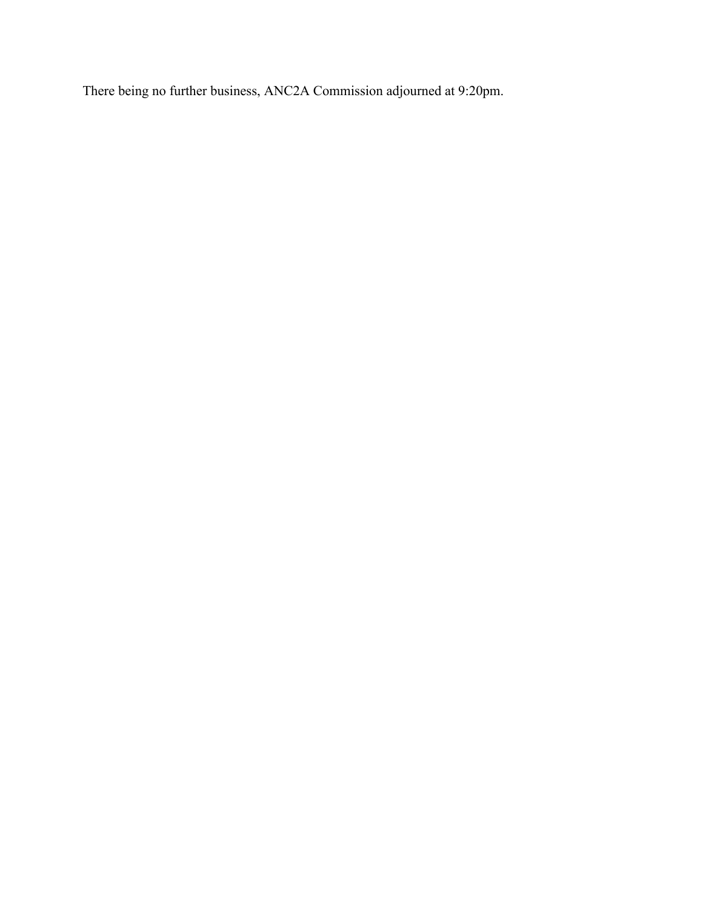There being no further business, ANC2A Commission adjourned at 9:20pm.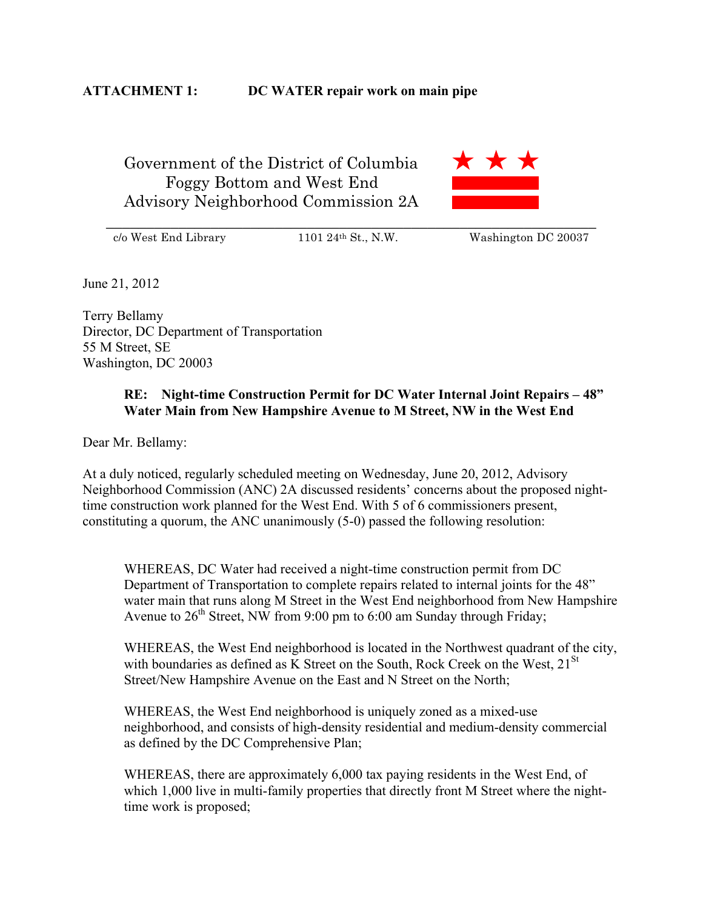Government of the District of Columbia Foggy Bottom and West End Advisory Neighborhood Commission 2A



c/o West End Library 1101 24th St., N.W. Washington DC 20037

June 21, 2012

Terry Bellamy Director, DC Department of Transportation 55 M Street, SE Washington, DC 20003

### **RE: Night-time Construction Permit for DC Water Internal Joint Repairs – 48" Water Main from New Hampshire Avenue to M Street, NW in the West End**

Dear Mr. Bellamy:

At a duly noticed, regularly scheduled meeting on Wednesday, June 20, 2012, Advisory Neighborhood Commission (ANC) 2A discussed residents' concerns about the proposed nighttime construction work planned for the West End. With 5 of 6 commissioners present, constituting a quorum, the ANC unanimously (5-0) passed the following resolution:

WHEREAS, DC Water had received a night-time construction permit from DC Department of Transportation to complete repairs related to internal joints for the 48" water main that runs along M Street in the West End neighborhood from New Hampshire Avenue to  $26<sup>th</sup>$  Street, NW from 9:00 pm to 6:00 am Sunday through Friday;

WHEREAS, the West End neighborhood is located in the Northwest quadrant of the city, with boundaries as defined as K Street on the South, Rock Creek on the West,  $21^{St}$ Street/New Hampshire Avenue on the East and N Street on the North;

WHEREAS, the West End neighborhood is uniquely zoned as a mixed-use neighborhood, and consists of high-density residential and medium-density commercial as defined by the DC Comprehensive Plan;

WHEREAS, there are approximately 6,000 tax paying residents in the West End, of which 1,000 live in multi-family properties that directly front M Street where the nighttime work is proposed;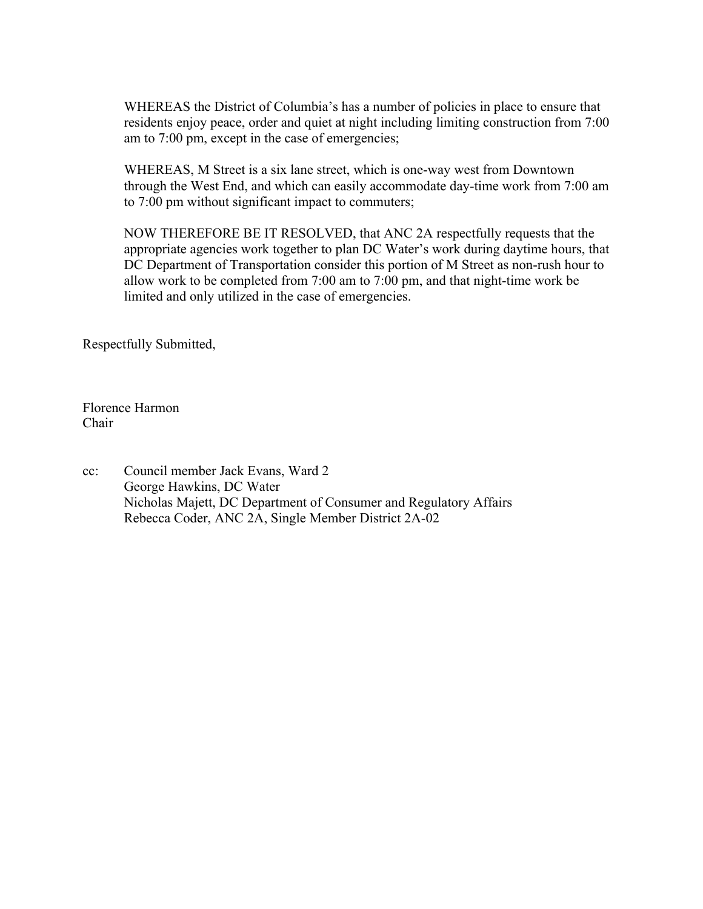WHEREAS the District of Columbia's has a number of policies in place to ensure that residents enjoy peace, order and quiet at night including limiting construction from 7:00 am to 7:00 pm, except in the case of emergencies;

WHEREAS, M Street is a six lane street, which is one-way west from Downtown through the West End, and which can easily accommodate day-time work from 7:00 am to 7:00 pm without significant impact to commuters;

NOW THEREFORE BE IT RESOLVED, that ANC 2A respectfully requests that the appropriate agencies work together to plan DC Water's work during daytime hours, that DC Department of Transportation consider this portion of M Street as non-rush hour to allow work to be completed from 7:00 am to 7:00 pm, and that night-time work be limited and only utilized in the case of emergencies.

Respectfully Submitted,

Florence Harmon Chair

cc: Council member Jack Evans, Ward 2 George Hawkins, DC Water Nicholas Majett, DC Department of Consumer and Regulatory Affairs Rebecca Coder, ANC 2A, Single Member District 2A-02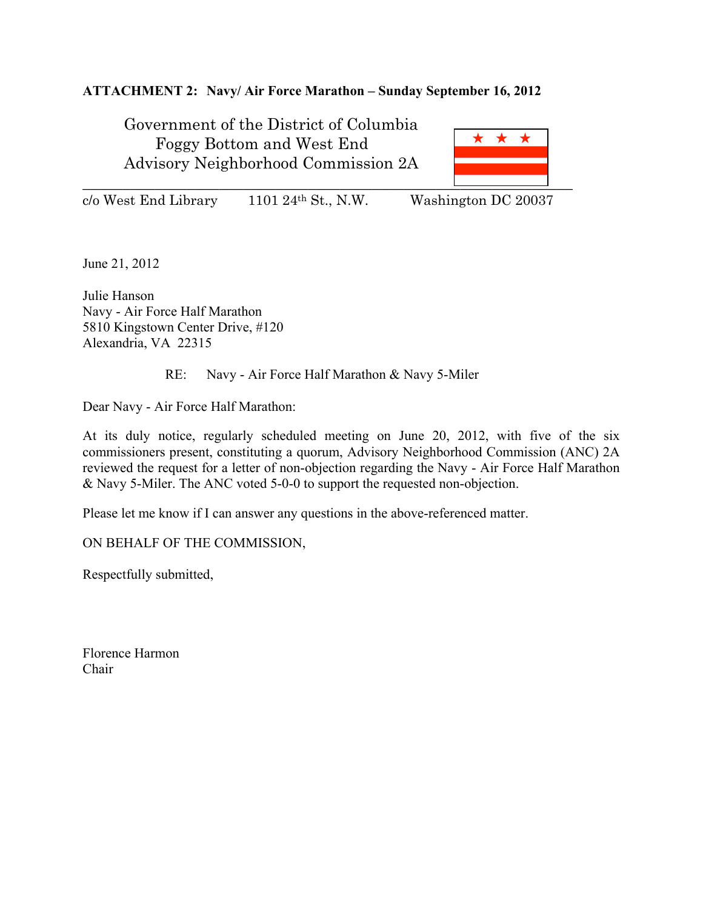### **ATTACHMENT 2: Navy/ Air Force Marathon – Sunday September 16, 2012**

Government of the District of Columbia Foggy Bottom and West End Advisory Neighborhood Commission 2A



c/o West End Library 1101 24th St., N.W. Washington DC 20037

June 21, 2012

Julie Hanson Navy - Air Force Half Marathon 5810 Kingstown Center Drive, #120 Alexandria, VA 22315

### RE: Navy - Air Force Half Marathon & Navy 5-Miler

Dear Navy - Air Force Half Marathon:

At its duly notice, regularly scheduled meeting on June 20, 2012, with five of the six commissioners present, constituting a quorum, Advisory Neighborhood Commission (ANC) 2A reviewed the request for a letter of non-objection regarding the Navy - Air Force Half Marathon & Navy 5-Miler. The ANC voted 5-0-0 to support the requested non-objection.

Please let me know if I can answer any questions in the above-referenced matter.

ON BEHALF OF THE COMMISSION,

Respectfully submitted,

Florence Harmon Chair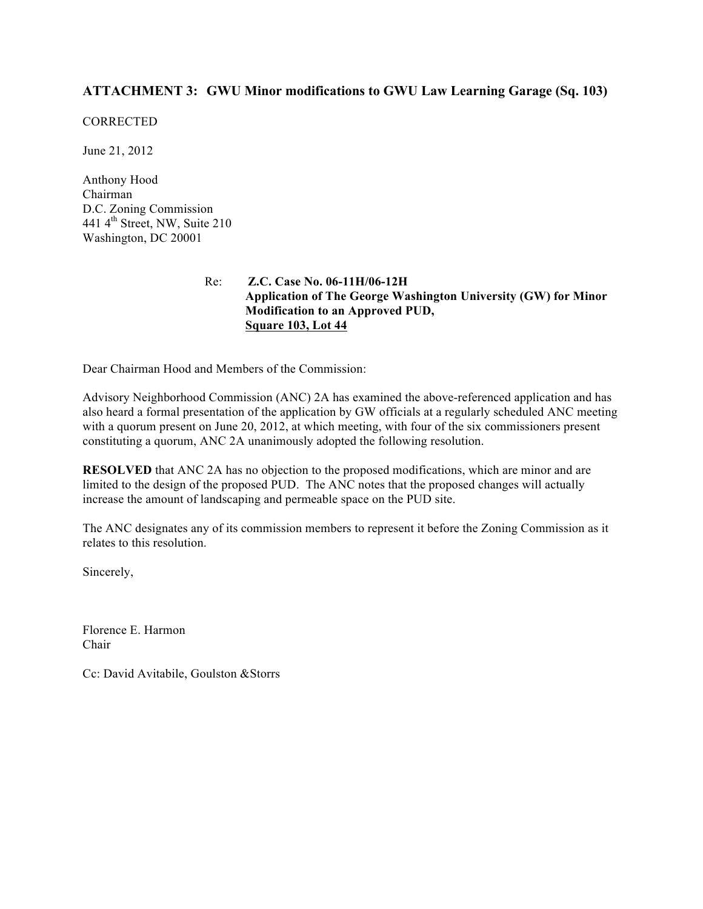### **ATTACHMENT 3: GWU Minor modifications to GWU Law Learning Garage (Sq. 103)**

#### **CORRECTED**

June 21, 2012

Anthony Hood Chairman D.C. Zoning Commission 441 4<sup>th</sup> Street, NW, Suite 210 Washington, DC 20001

#### Re: **Z.C. Case No. 06-11H/06-12H Application of The George Washington University (GW) for Minor Modification to an Approved PUD, Square 103, Lot 44**

Dear Chairman Hood and Members of the Commission:

Advisory Neighborhood Commission (ANC) 2A has examined the above-referenced application and has also heard a formal presentation of the application by GW officials at a regularly scheduled ANC meeting with a quorum present on June 20, 2012, at which meeting, with four of the six commissioners present constituting a quorum, ANC 2A unanimously adopted the following resolution.

**RESOLVED** that ANC 2A has no objection to the proposed modifications, which are minor and are limited to the design of the proposed PUD. The ANC notes that the proposed changes will actually increase the amount of landscaping and permeable space on the PUD site.

The ANC designates any of its commission members to represent it before the Zoning Commission as it relates to this resolution.

Sincerely,

Florence E. Harmon Chair

Cc: David Avitabile, Goulston &Storrs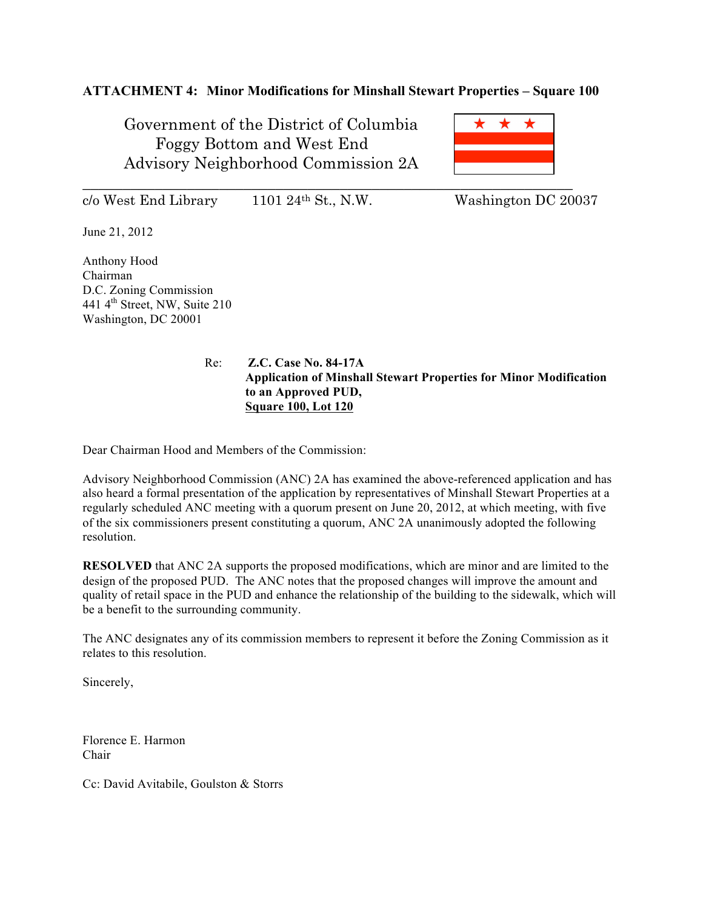### **ATTACHMENT 4: Minor Modifications for Minshall Stewart Properties – Square 100**

Government of the District of Columbia Foggy Bottom and West End Advisory Neighborhood Commission 2A

 $\star$ \_\_\_\_\_\_\_\_\_\_\_\_\_\_\_\_\_\_\_\_\_\_\_\_\_\_\_\_\_\_\_\_\_\_\_\_\_\_\_\_\_\_\_\_\_\_\_\_\_\_\_\_\_\_\_\_\_\_\_\_\_

 $c/\sigma$  West End Library 1101 24<sup>th</sup> St., N.W. Washington DC 20037

June 21, 2012

Anthony Hood Chairman D.C. Zoning Commission 441 4th Street, NW, Suite 210 Washington, DC 20001

> Re: **Z.C. Case No. 84-17A Application of Minshall Stewart Properties for Minor Modification to an Approved PUD, Square 100, Lot 120**

Dear Chairman Hood and Members of the Commission:

Advisory Neighborhood Commission (ANC) 2A has examined the above-referenced application and has also heard a formal presentation of the application by representatives of Minshall Stewart Properties at a regularly scheduled ANC meeting with a quorum present on June 20, 2012, at which meeting, with five of the six commissioners present constituting a quorum, ANC 2A unanimously adopted the following resolution.

**RESOLVED** that ANC 2A supports the proposed modifications, which are minor and are limited to the design of the proposed PUD. The ANC notes that the proposed changes will improve the amount and quality of retail space in the PUD and enhance the relationship of the building to the sidewalk, which will be a benefit to the surrounding community.

The ANC designates any of its commission members to represent it before the Zoning Commission as it relates to this resolution.

Sincerely,

Florence E. Harmon Chair

Cc: David Avitabile, Goulston & Storrs

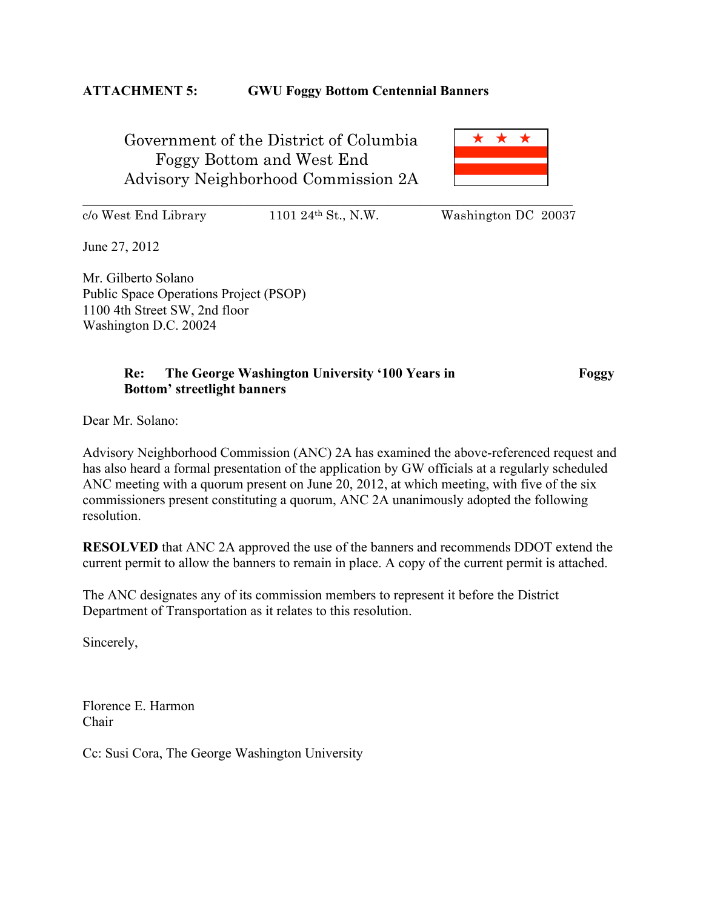### **ATTACHMENT 5: GWU Foggy Bottom Centennial Banners**

Government of the District of Columbia Foggy Bottom and West End Advisory Neighborhood Commission 2A

\_\_\_\_\_\_\_\_\_\_\_\_\_\_\_\_\_\_\_\_\_\_\_\_\_\_\_\_\_\_\_\_\_\_\_\_\_\_\_\_\_\_\_\_\_\_\_\_\_\_\_\_\_\_\_\_\_\_\_\_\_



 $c/\sigma$  West End Library 1101 24<sup>th</sup> St., N.W. Washington DC 20037

June 27, 2012

Mr. Gilberto Solano Public Space Operations Project (PSOP) 1100 4th Street SW, 2nd floor Washington D.C. 20024

### **Re:** The George Washington University '100 Years in Foggy **Bottom' streetlight banners**

Dear Mr. Solano:

Advisory Neighborhood Commission (ANC) 2A has examined the above-referenced request and has also heard a formal presentation of the application by GW officials at a regularly scheduled ANC meeting with a quorum present on June 20, 2012, at which meeting, with five of the six commissioners present constituting a quorum, ANC 2A unanimously adopted the following resolution.

**RESOLVED** that ANC 2A approved the use of the banners and recommends DDOT extend the current permit to allow the banners to remain in place. A copy of the current permit is attached.

The ANC designates any of its commission members to represent it before the District Department of Transportation as it relates to this resolution.

Sincerely,

Florence E. Harmon Chair

Cc: Susi Cora, The George Washington University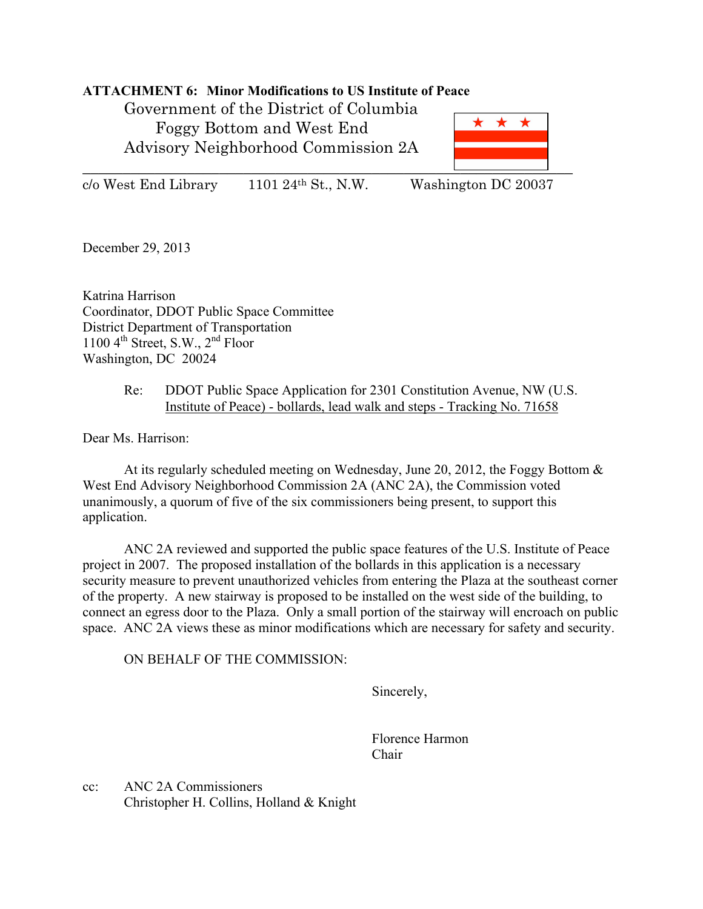### **ATTACHMENT 6: Minor Modifications to US Institute of Peace**

Government of the District of Columbia Foggy Bottom and West End Advisory Neighborhood Commission 2A



c/o West End Library 1101 24th St., N.W. Washington DC 20037

December 29, 2013

Katrina Harrison Coordinator, DDOT Public Space Committee District Department of Transportation 1100  $4^{\text{th}}$  Street, S.W.,  $2^{\text{nd}}$  Floor Washington, DC 20024

#### Re: DDOT Public Space Application for 2301 Constitution Avenue, NW (U.S. Institute of Peace) - bollards, lead walk and steps - Tracking No. 71658

Dear Ms. Harrison:

At its regularly scheduled meeting on Wednesday, June 20, 2012, the Foggy Bottom  $\&$ West End Advisory Neighborhood Commission 2A (ANC 2A), the Commission voted unanimously, a quorum of five of the six commissioners being present, to support this application.

ANC 2A reviewed and supported the public space features of the U.S. Institute of Peace project in 2007. The proposed installation of the bollards in this application is a necessary security measure to prevent unauthorized vehicles from entering the Plaza at the southeast corner of the property. A new stairway is proposed to be installed on the west side of the building, to connect an egress door to the Plaza. Only a small portion of the stairway will encroach on public space. ANC 2A views these as minor modifications which are necessary for safety and security.

ON BEHALF OF THE COMMISSION:

Sincerely,

Florence Harmon Chair

cc: ANC 2A Commissioners Christopher H. Collins, Holland & Knight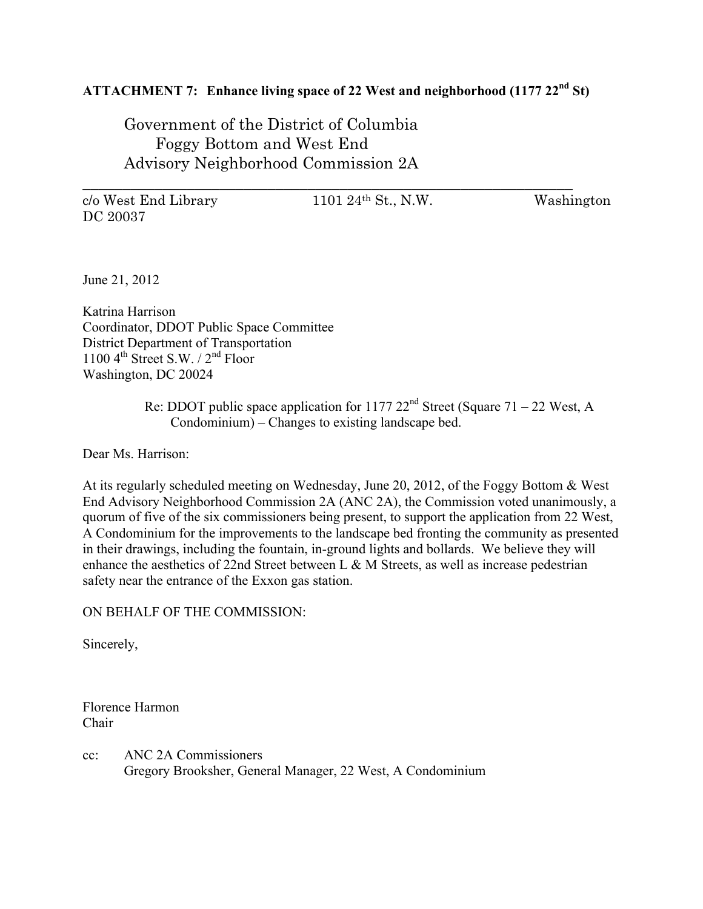# **ATTACHMENT 7: Enhance living space of 22 West and neighborhood (1177 22nd St)**

\_\_\_\_\_\_\_\_\_\_\_\_\_\_\_\_\_\_\_\_\_\_\_\_\_\_\_\_\_\_\_\_\_\_\_\_\_\_\_\_\_\_\_\_\_\_\_\_\_\_\_\_\_\_\_\_\_\_\_\_\_

Government of the District of Columbia Foggy Bottom and West End Advisory Neighborhood Commission 2A

c/o West End Library 1101 24th St., N.W. Washington DC 20037

June 21, 2012

Katrina Harrison Coordinator, DDOT Public Space Committee District Department of Transportation 1100  $4^{\text{th}}$  Street S.W. /  $2^{\text{nd}}$  Floor Washington, DC 20024

> Re: DDOT public space application for 1177  $22<sup>nd</sup>$  Street (Square 71 – 22 West, A Condominium) – Changes to existing landscape bed.

Dear Ms. Harrison:

At its regularly scheduled meeting on Wednesday, June 20, 2012, of the Foggy Bottom & West End Advisory Neighborhood Commission 2A (ANC 2A), the Commission voted unanimously, a quorum of five of the six commissioners being present, to support the application from 22 West, A Condominium for the improvements to the landscape bed fronting the community as presented in their drawings, including the fountain, in-ground lights and bollards. We believe they will enhance the aesthetics of 22nd Street between L  $\&$  M Streets, as well as increase pedestrian safety near the entrance of the Exxon gas station.

ON BEHALF OF THE COMMISSION:

Sincerely,

Florence Harmon Chair

cc: ANC 2A Commissioners Gregory Brooksher, General Manager, 22 West, A Condominium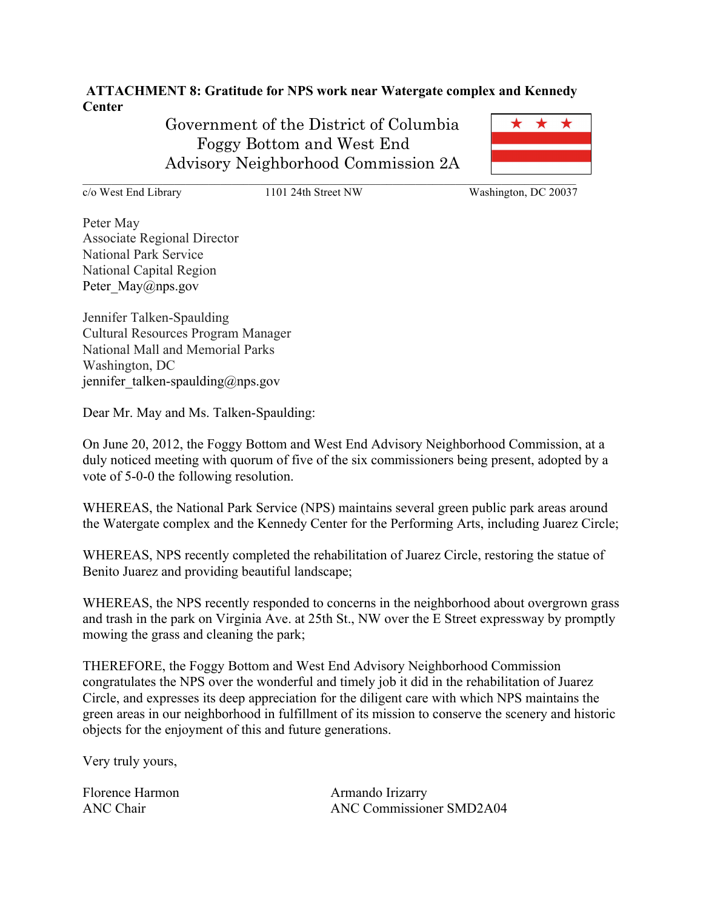**ATTACHMENT 8: Gratitude for NPS work near Watergate complex and Kennedy Center** 

> Government of the District of Columbia Foggy Bottom and West End Advisory Neighborhood Commission 2A

\* \* \*

 $\mathcal{L}_\mathcal{L} = \mathcal{L}_\mathcal{L} = \mathcal{L}_\mathcal{L} = \mathcal{L}_\mathcal{L} = \mathcal{L}_\mathcal{L} = \mathcal{L}_\mathcal{L} = \mathcal{L}_\mathcal{L} = \mathcal{L}_\mathcal{L} = \mathcal{L}_\mathcal{L} = \mathcal{L}_\mathcal{L} = \mathcal{L}_\mathcal{L} = \mathcal{L}_\mathcal{L} = \mathcal{L}_\mathcal{L} = \mathcal{L}_\mathcal{L} = \mathcal{L}_\mathcal{L} = \mathcal{L}_\mathcal{L} = \mathcal{L}_\mathcal{L}$ 

c/o West End Library 1101 24th Street NW Washington, DC 20037

Peter May Associate Regional Director National Park Service National Capital Region Peter\_May@nps.gov

Jennifer Talken-Spaulding Cultural Resources Program Manager National Mall and Memorial Parks Washington, DC jennifer talken-spaulding@nps.gov

Dear Mr. May and Ms. Talken-Spaulding:

On June 20, 2012, the Foggy Bottom and West End Advisory Neighborhood Commission, at a duly noticed meeting with quorum of five of the six commissioners being present, adopted by a vote of 5-0-0 the following resolution.

WHEREAS, the National Park Service (NPS) maintains several green public park areas around the Watergate complex and the Kennedy Center for the Performing Arts, including Juarez Circle;

WHEREAS, NPS recently completed the rehabilitation of Juarez Circle, restoring the statue of Benito Juarez and providing beautiful landscape;

WHEREAS, the NPS recently responded to concerns in the neighborhood about overgrown grass and trash in the park on Virginia Ave. at 25th St., NW over the E Street expressway by promptly mowing the grass and cleaning the park;

THEREFORE, the Foggy Bottom and West End Advisory Neighborhood Commission congratulates the NPS over the wonderful and timely job it did in the rehabilitation of Juarez Circle, and expresses its deep appreciation for the diligent care with which NPS maintains the green areas in our neighborhood in fulfillment of its mission to conserve the scenery and historic objects for the enjoyment of this and future generations.

Very truly yours,

Florence Harmon Armando Irizarry

ANC Chair ANC Commissioner SMD2A04